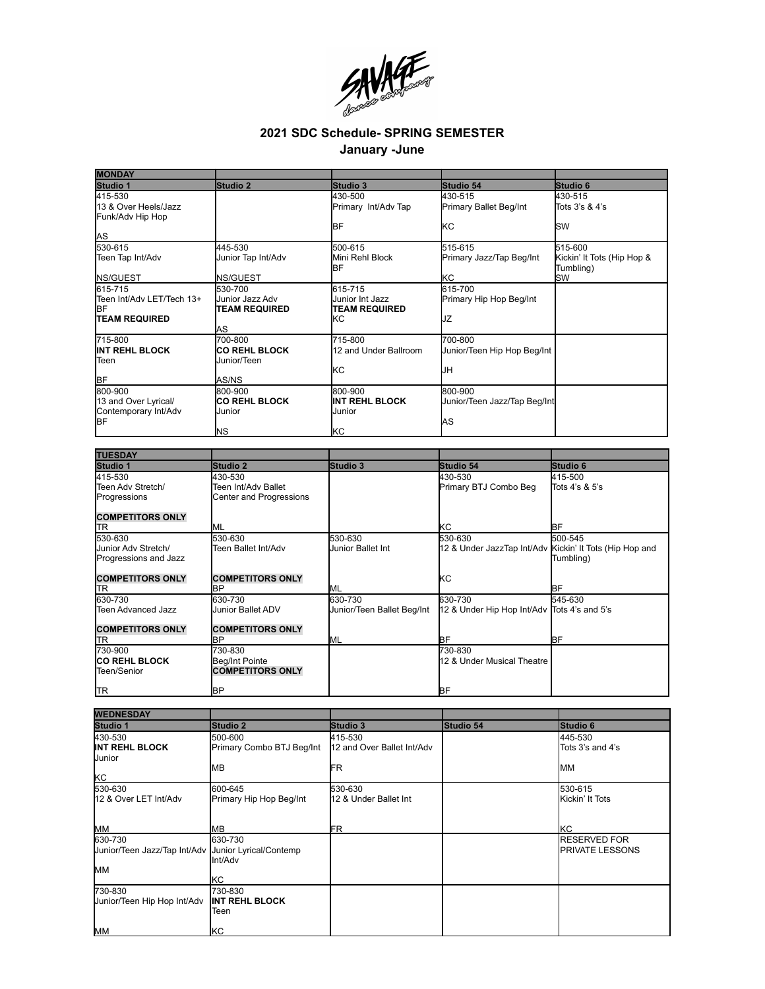

## **2021 SDC Schedule- SPRING SEMESTER**

## **January -June**

| <b>MONDAY</b>                                                      |                                                           |                                                           |                                                         |                                         |
|--------------------------------------------------------------------|-----------------------------------------------------------|-----------------------------------------------------------|---------------------------------------------------------|-----------------------------------------|
| Studio 1                                                           | Studio 2                                                  | Studio 3                                                  | Studio 54                                               | Studio 6                                |
| 415-530<br>13 & Over Heels/Jazz<br>Funk/Adv Hip Hop                |                                                           | 430-500<br>Primary Int/Adv Tap                            | 430-515<br>Primary Ballet Beg/Int                       | 430-515<br>Tots 3's & 4's               |
| <u>AS</u>                                                          |                                                           | IBF                                                       | kс                                                      | <b>SW</b>                               |
| 530-615                                                            | 445-530                                                   | 500-615                                                   | 515-615                                                 | 515-600                                 |
| Teen Tap Int/Adv                                                   | Junior Tap Int/Adv                                        | Mini Rehl Block<br>IBF                                    | Primary Jazz/Tap Beg/Int                                | Kickin' It Tots (Hip Hop &<br>Tumbling) |
| NS/GUEST                                                           | <b>NS/GUEST</b>                                           |                                                           | ΚC                                                      | <b>SW</b>                               |
| 615-715<br>Teen Int/Adv LET/Tech 13+<br>ΒF<br><b>TEAM REQUIRED</b> | 530-700<br>Junior Jazz Adv<br><b>TEAM REQUIRED</b>        | 615-715<br>Junior Int Jazz<br><b>TEAM REQUIRED</b><br>lĸc | 615-700<br>Primary Hip Hop Beg/Int<br>JZ                |                                         |
|                                                                    | AS                                                        |                                                           |                                                         |                                         |
| 715-800<br>IINT REHL BLOCK<br>Teen                                 | 700-800<br><b>CO REHL BLOCK</b><br>Junior/Teen            | 715-800<br>12 and Under Ballroom                          | 700-800<br>Junior/Teen Hip Hop Beg/Int                  |                                         |
| BF                                                                 | AS/NS                                                     | <b>k</b> c                                                | IJн                                                     |                                         |
| 800-900<br>13 and Over Lyrical/<br>Contemporary Int/Adv            | 800-900<br><b>CO REHL BLOCK</b><br>Junior                 | 800-900<br><b>INT REHL BLOCK</b><br>Junior                | 800-900<br>Junior/Teen Jazz/Tap Beg/Int                 |                                         |
| ΒF                                                                 | ΝS                                                        | lкс                                                       | AS                                                      |                                         |
|                                                                    |                                                           |                                                           |                                                         |                                         |
| <b>TUESDAY</b>                                                     |                                                           |                                                           |                                                         |                                         |
| Studio 1                                                           | <b>Studio 2</b>                                           | Studio 3                                                  | Studio 54                                               | Studio 6                                |
| 415-530<br>Teen Adv Stretch/<br>Progressions                       | 430-530<br>Teen Int/Adv Ballet<br>Center and Progressions |                                                           | 430-530<br>Primary BTJ Combo Beg                        | 415-500<br>Tots 4's & 5's               |
| <b>COMPETITORS ONLY</b><br><b>TR</b>                               | <b>ML</b>                                                 |                                                           | KC                                                      | ΒF                                      |
| 530-630                                                            | 530-630                                                   | 530-630                                                   | 530-630                                                 | 500-545                                 |
| Junior Adv Stretch/<br>Progressions and Jazz                       | Teen Ballet Int/Adv                                       | Junior Ballet Int                                         | 12 & Under JazzTap Int/Adv Kickin' It Tots (Hip Hop and | Tumbling)                               |
| <b>COMPETITORS ONLY</b>                                            | <b>COMPETITORS ONLY</b>                                   |                                                           | ΚC                                                      |                                         |
| <b>TR</b>                                                          | BР                                                        | ML                                                        |                                                         | ВF                                      |
| 630-730                                                            | 630-730                                                   | 630-730                                                   | 630-730                                                 | 545-630                                 |
| Teen Advanced Jazz                                                 | Junior Ballet ADV                                         | Junior/Teen Ballet Beg/Int                                | 12 & Under Hip Hop Int/Adv Tots 4's and 5's             |                                         |
| <b>COMPETITORS ONLY</b>                                            | <b>COMPETITORS ONLY</b>                                   |                                                           |                                                         |                                         |
| <b>TR</b>                                                          | ΒP                                                        | ML                                                        | BF                                                      | BF                                      |
| 730-900                                                            | 730-830                                                   |                                                           | 730-830                                                 |                                         |

| <b>TR</b>                               | <b>I</b> BP                                  |                                       | BF        |                                               |
|-----------------------------------------|----------------------------------------------|---------------------------------------|-----------|-----------------------------------------------|
|                                         |                                              |                                       |           |                                               |
| <b>WEDNESDAY</b>                        |                                              |                                       |           |                                               |
| Studio 1                                | Studio 2                                     | Studio 3                              | Studio 54 | Studio 6                                      |
| 430-530<br>INT REHL BLOCK<br>Junior     | 500-600<br>Primary Combo BTJ Beg/Int         | 415-530<br>12 and Over Ballet Int/Adv |           | 445-530<br>Tots 3's and 4's                   |
| <b>KC</b>                               | <b>MB</b>                                    | FR                                    |           | <b>MM</b>                                     |
| 530-630                                 | 600-645                                      | 530-630                               |           | 530-615                                       |
| 12 & Over LET Int/Adv                   | Primary Hip Hop Beg/Int                      | 12 & Under Ballet Int                 |           | Kickin' It Tots                               |
| MM                                      | <b>MB</b>                                    | FR                                    |           | <b>KC</b>                                     |
| 630-730<br>Junior/Teen Jazz/Tap Int/Adv | 630-730<br>Junior Lyrical/Contemp<br>Int/Adv |                                       |           | <b>RESERVED FOR</b><br><b>PRIVATE LESSONS</b> |
| MM                                      | KC                                           |                                       |           |                                               |
| 730-830<br>Junior/Teen Hip Hop Int/Adv  | 730-830<br><b>INT REHL BLOCK</b><br>Teen     |                                       |           |                                               |
| <b>MM</b>                               | KC                                           |                                       |           |                                               |

12 & Under Musical Theatre

**CO REHL BLOCK** Teen/Senior

Beg/Int Pointe **COMPETITORS ONLY**

BP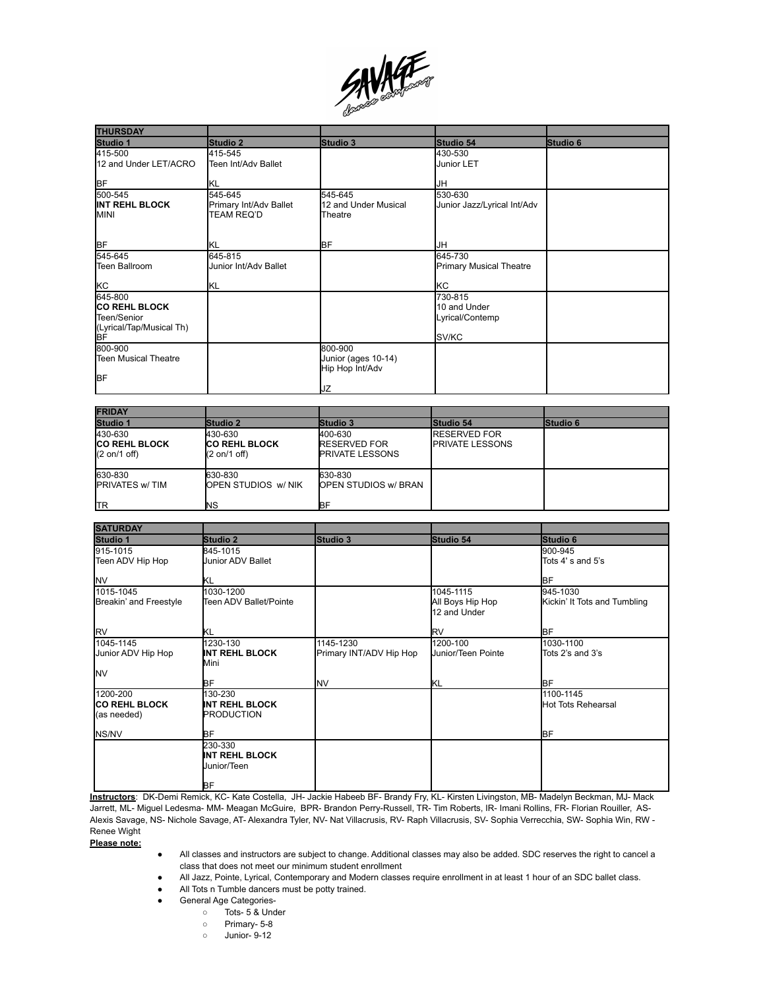

| <b>THURSDAY</b>                                                                  |                                                 |                                                         |                                                     |          |
|----------------------------------------------------------------------------------|-------------------------------------------------|---------------------------------------------------------|-----------------------------------------------------|----------|
| Studio 1                                                                         | Studio 2                                        | Studio 3                                                | Studio 54                                           | Studio 6 |
| 415-500<br>12 and Under LET/ACRO                                                 | 415-545<br>Teen Int/Adv Ballet                  |                                                         | 430-530<br>Junior LET                               |          |
| <b>BF</b>                                                                        | ΙKL                                             |                                                         | IJΗ                                                 |          |
| 500-545<br><b>INT REHL BLOCK</b><br>MINI                                         | 545-645<br>Primary Int/Adv Ballet<br>TEAM REQ'D | 545-645<br>12 and Under Musical<br>Theatre              | 530-630<br>Junior Jazz/Lyrical Int/Adv              |          |
| <b>BF</b>                                                                        | KL                                              | <b>BF</b>                                               | IJΗ                                                 |          |
| 545-645<br>Teen Ballroom<br>kC                                                   | 645-815<br>Junior Int/Adv Ballet<br>IKL         |                                                         | 645-730<br><b>Primary Musical Theatre</b><br>KC     |          |
| 645-800<br><b>CO REHL BLOCK</b><br>Teen/Senior<br>(Lyrical/Tap/Musical Th)<br>BF |                                                 |                                                         | 730-815<br>10 and Under<br>Lyrical/Contemp<br>SV/KC |          |
| 800-900<br>Teen Musical Theatre<br>BF                                            |                                                 | 800-900<br>Junior (ages 10-14)<br>Hip Hop Int/Adv<br>JΖ |                                                     |          |

| <b>FRIDAY</b>                                                      |                                                                    |                                                          |                                                |                 |
|--------------------------------------------------------------------|--------------------------------------------------------------------|----------------------------------------------------------|------------------------------------------------|-----------------|
| Studio 1                                                           | Studio 2                                                           | <b>Studio 3</b>                                          | <b>Studio 54</b>                               | <b>Studio 6</b> |
| 430-630<br><b>ICO REHL BLOCK</b><br>$(2 \text{ on}/1 \text{ off})$ | 430-630<br><b>ICO REHL BLOCK</b><br>$(2 \text{ on}/1 \text{ off})$ | 400-630<br><b>RESERVED FOR</b><br><b>PRIVATE LESSONS</b> | <b>RESERVED FOR</b><br><b>IPRIVATE LESSONS</b> |                 |
| 630-830<br><b>IPRIVATES w/TIM</b><br><b>I</b> TR                   | 630-830<br><b>OPEN STUDIOS W/ NIK</b><br>ΝS                        | 630-830<br><b>OPEN STUDIOS W/ BRAN</b><br>ΒF             |                                                |                 |

| <b>SATURDAY</b>        |                               |                         |                                  |                              |
|------------------------|-------------------------------|-------------------------|----------------------------------|------------------------------|
| Studio 1               | Studio 2                      | Studio 3                | Studio 54                        | Studio 6                     |
| 915-1015               | 845-1015                      |                         |                                  | 900-945                      |
| Teen ADV Hip Hop       | <b>Junior ADV Ballet</b>      |                         |                                  | Tots 4's and 5's             |
| <b>NV</b>              | KL                            |                         |                                  | <b>BF</b>                    |
| 1015-1045              | 1030-1200                     |                         | 1045-1115                        | 945-1030                     |
| Breakin' and Freestyle | Teen ADV Ballet/Pointe        |                         | All Boys Hip Hop<br>12 and Under | Kickin' It Tots and Tumbling |
| <b>RV</b>              | ΙKL                           |                         | RV                               | <b>I</b> BF                  |
| 1045-1145              | 1230-130                      | 1145-1230               | 1200-100                         | 1030-1100                    |
| Junior ADV Hip Hop     | <b>INT REHL BLOCK</b><br>Mini | Primary INT/ADV Hip Hop | Uunior/Teen Pointe               | Tots 2's and 3's             |
| <b>NV</b>              |                               |                         |                                  |                              |
|                        | BF                            | <b>NV</b>               | ΙKL                              | <b>I</b> BF                  |
| 1200-200               | 130-230                       |                         |                                  | 1100-1145                    |
| <b>ICO REHL BLOCK</b>  | <b>INT REHL BLOCK</b>         |                         |                                  | <b>Hot Tots Rehearsal</b>    |
| (as needed)            | <b>PRODUCTION</b>             |                         |                                  |                              |
| NS/NV                  | BF                            |                         |                                  | <b>BF</b>                    |
|                        | 230-330                       |                         |                                  |                              |
|                        | <b>INT REHL BLOCK</b>         |                         |                                  |                              |
|                        | <b>Junior/Teen</b>            |                         |                                  |                              |
|                        | BF                            |                         |                                  |                              |

**Instructors**: DK-Demi Remick, KC- Kate Costella, JH- Jackie Habeeb BF- Brandy Fry, KL- Kirsten Livingston, MB- Madelyn Beckman, MJ- Mack Jarrett, ML- Miguel Ledesma- MM- Meagan McGuire, BPR- Brandon Perry-Russell, TR- Tim Roberts, IR- Imani Rollins, FR- Florian Rouiller, AS-Alexis Savage, NS- Nichole Savage, AT- Alexandra Tyler, NV- Nat Villacrusis, RV- Raph Villacrusis, SV- Sophia Verrecchia, SW- Sophia Win, RW - Renee Wight

**Please note:**

- All classes and instructors are subject to change. Additional classes may also be added. SDC reserves the right to cancel a class that does not meet our minimum student enrollment
- All Jazz, Pointe, Lyrical, Contemporary and Modern classes require enrollment in at least 1 hour of an SDC ballet class.
- All Tots n Tumble dancers must be potty trained.
- General Age Categories-
	- Tots- 5 & Under
	- Primary- 5-8
	- Junior- 9-12